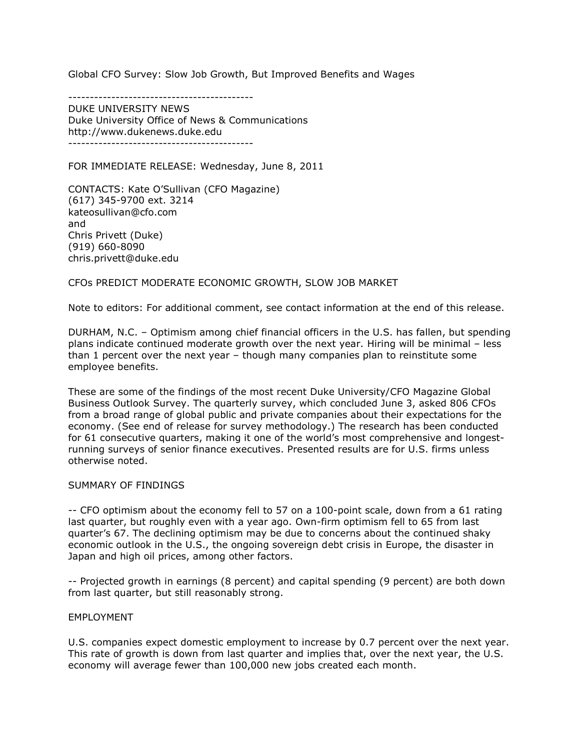Global CFO Survey: Slow Job Growth, But Improved Benefits and Wages

-------------------------------------------

DUKE UNIVERSITY NEWS Duke University Office of News & Communications http://www.dukenews.duke.edu -------------------------------------------

FOR IMMEDIATE RELEASE: Wednesday, June 8, 2011

CONTACTS: Kate O'Sullivan (CFO Magazine) (617) 345-9700 ext. 3214 kateosullivan@cfo.com and Chris Privett (Duke) (919) 660-8090 chris.privett@duke.edu

CFOs PREDICT MODERATE ECONOMIC GROWTH, SLOW JOB MARKET

Note to editors: For additional comment, see contact information at the end of this release.

DURHAM, N.C. – Optimism among chief financial officers in the U.S. has fallen, but spending plans indicate continued moderate growth over the next year. Hiring will be minimal – less than 1 percent over the next year – though many companies plan to reinstitute some employee benefits.

These are some of the findings of the most recent Duke University/CFO Magazine Global Business Outlook Survey. The quarterly survey, which concluded June 3, asked 806 CFOs from a broad range of global public and private companies about their expectations for the economy. (See end of release for survey methodology.) The research has been conducted for 61 consecutive quarters, making it one of the world's most comprehensive and longestrunning surveys of senior finance executives. Presented results are for U.S. firms unless otherwise noted.

#### SUMMARY OF FINDINGS

-- CFO optimism about the economy fell to 57 on a 100-point scale, down from a 61 rating last quarter, but roughly even with a year ago. Own-firm optimism fell to 65 from last quarter's 67. The declining optimism may be due to concerns about the continued shaky economic outlook in the U.S., the ongoing sovereign debt crisis in Europe, the disaster in Japan and high oil prices, among other factors.

-- Projected growth in earnings (8 percent) and capital spending (9 percent) are both down from last quarter, but still reasonably strong.

#### EMPLOYMENT

U.S. companies expect domestic employment to increase by 0.7 percent over the next year. This rate of growth is down from last quarter and implies that, over the next year, the U.S. economy will average fewer than 100,000 new jobs created each month.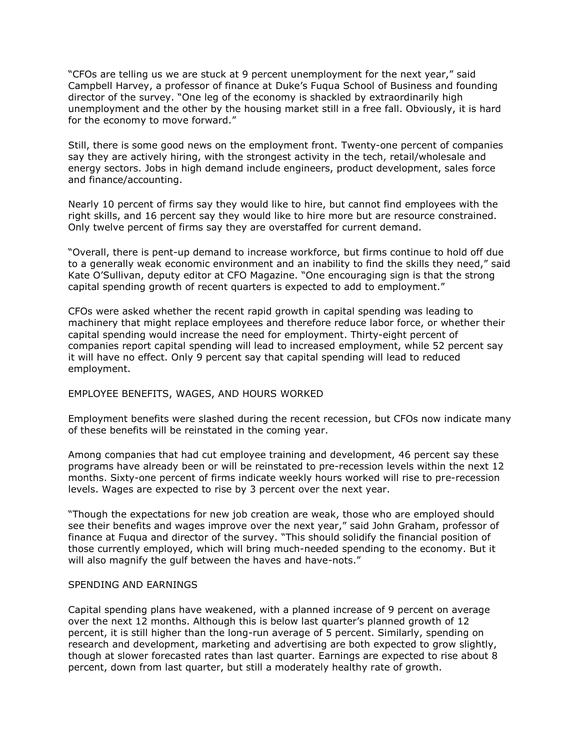"CFOs are telling us we are stuck at 9 percent unemployment for the next year," said Campbell Harvey, a professor of finance at Duke's Fuqua School of Business and founding director of the survey. "One leg of the economy is shackled by extraordinarily high unemployment and the other by the housing market still in a free fall. Obviously, it is hard for the economy to move forward."

Still, there is some good news on the employment front. Twenty-one percent of companies say they are actively hiring, with the strongest activity in the tech, retail/wholesale and energy sectors. Jobs in high demand include engineers, product development, sales force and finance/accounting.

Nearly 10 percent of firms say they would like to hire, but cannot find employees with the right skills, and 16 percent say they would like to hire more but are resource constrained. Only twelve percent of firms say they are overstaffed for current demand.

"Overall, there is pent-up demand to increase workforce, but firms continue to hold off due to a generally weak economic environment and an inability to find the skills they need," said Kate O'Sullivan, deputy editor at CFO Magazine. "One encouraging sign is that the strong capital spending growth of recent quarters is expected to add to employment."

CFOs were asked whether the recent rapid growth in capital spending was leading to machinery that might replace employees and therefore reduce labor force, or whether their capital spending would increase the need for employment. Thirty-eight percent of companies report capital spending will lead to increased employment, while 52 percent say it will have no effect. Only 9 percent say that capital spending will lead to reduced employment.

# EMPLOYEE BENEFITS, WAGES, AND HOURS WORKED

Employment benefits were slashed during the recent recession, but CFOs now indicate many of these benefits will be reinstated in the coming year.

Among companies that had cut employee training and development, 46 percent say these programs have already been or will be reinstated to pre-recession levels within the next 12 months. Sixty-one percent of firms indicate weekly hours worked will rise to pre-recession levels. Wages are expected to rise by 3 percent over the next year.

"Though the expectations for new job creation are weak, those who are employed should see their benefits and wages improve over the next year," said John Graham, professor of finance at Fuqua and director of the survey. "This should solidify the financial position of those currently employed, which will bring much-needed spending to the economy. But it will also magnify the gulf between the haves and have-nots."

## SPENDING AND EARNINGS

Capital spending plans have weakened, with a planned increase of 9 percent on average over the next 12 months. Although this is below last quarter's planned growth of 12 percent, it is still higher than the long-run average of 5 percent. Similarly, spending on research and development, marketing and advertising are both expected to grow slightly, though at slower forecasted rates than last quarter. Earnings are expected to rise about 8 percent, down from last quarter, but still a moderately healthy rate of growth.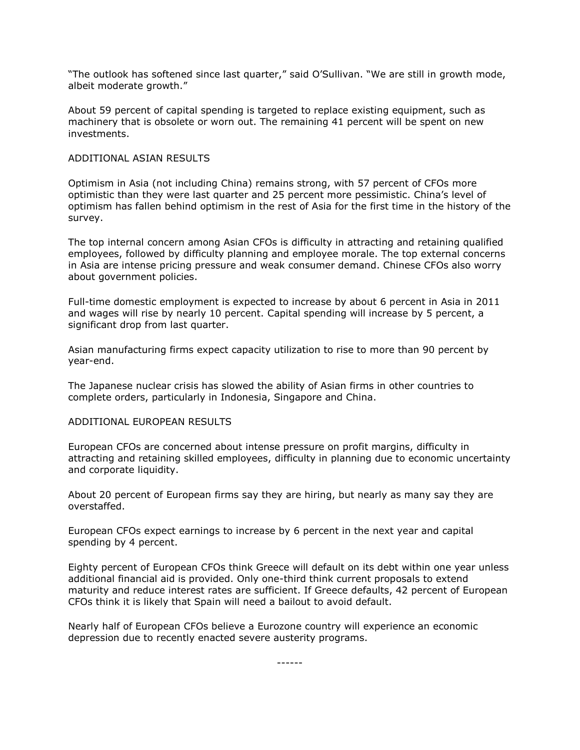"The outlook has softened since last quarter," said O'Sullivan. "We are still in growth mode, albeit moderate growth."

About 59 percent of capital spending is targeted to replace existing equipment, such as machinery that is obsolete or worn out. The remaining 41 percent will be spent on new investments.

# ADDITIONAL ASIAN RESULTS

Optimism in Asia (not including China) remains strong, with 57 percent of CFOs more optimistic than they were last quarter and 25 percent more pessimistic. China's level of optimism has fallen behind optimism in the rest of Asia for the first time in the history of the survey.

The top internal concern among Asian CFOs is difficulty in attracting and retaining qualified employees, followed by difficulty planning and employee morale. The top external concerns in Asia are intense pricing pressure and weak consumer demand. Chinese CFOs also worry about government policies.

Full-time domestic employment is expected to increase by about 6 percent in Asia in 2011 and wages will rise by nearly 10 percent. Capital spending will increase by 5 percent, a significant drop from last quarter.

Asian manufacturing firms expect capacity utilization to rise to more than 90 percent by year-end.

The Japanese nuclear crisis has slowed the ability of Asian firms in other countries to complete orders, particularly in Indonesia, Singapore and China.

## ADDITIONAL EUROPEAN RESULTS

European CFOs are concerned about intense pressure on profit margins, difficulty in attracting and retaining skilled employees, difficulty in planning due to economic uncertainty and corporate liquidity.

About 20 percent of European firms say they are hiring, but nearly as many say they are overstaffed.

European CFOs expect earnings to increase by 6 percent in the next year and capital spending by 4 percent.

Eighty percent of European CFOs think Greece will default on its debt within one year unless additional financial aid is provided. Only one-third think current proposals to extend maturity and reduce interest rates are sufficient. If Greece defaults, 42 percent of European CFOs think it is likely that Spain will need a bailout to avoid default.

Nearly half of European CFOs believe a Eurozone country will experience an economic depression due to recently enacted severe austerity programs.

------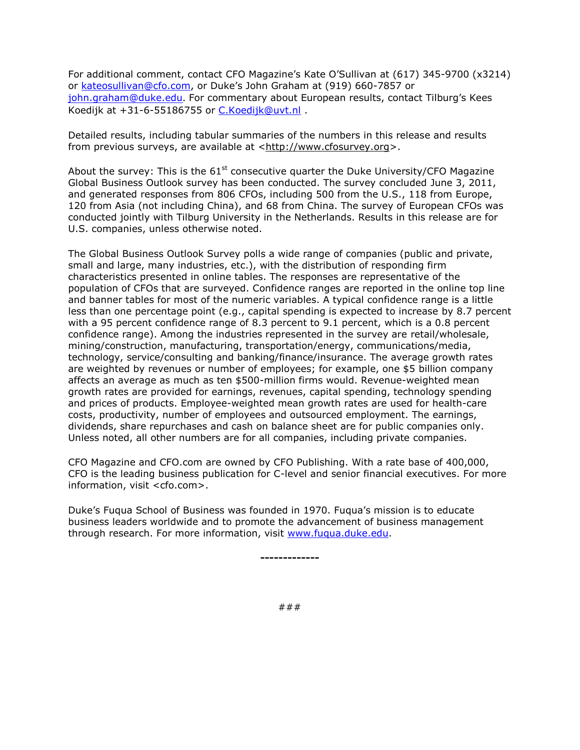For additional comment, contact CFO Magazine's Kate O'Sullivan at (617) 345-9700 (x3214) or [kateosullivan@cfo.com](mailto:kateosullivan@cfo.com), or Duke's John Graham at (919) 660-7857 or [john.graham@duke.edu](mailto:john.graham@duke.edu). For commentary about European results, contact Tilburg's Kees Koedijk at +31-6-55186755 or [C.Koedijk@uvt.nl](mailto:C.Koedijk@uvt.nl) .

Detailed results, including tabular summaries of the numbers in this release and results from previous surveys, are available at [<http://www.cfosurvey.org>](http://www.cfosurvey.org/).

About the survey: This is the  $61<sup>st</sup>$  consecutive quarter the Duke University/CFO Magazine Global Business Outlook survey has been conducted. The survey concluded June 3, 2011, and generated responses from 806 CFOs, including 500 from the U.S., 118 from Europe, 120 from Asia (not including China), and 68 from China. The survey of European CFOs was conducted jointly with Tilburg University in the Netherlands. Results in this release are for U.S. companies, unless otherwise noted.

The Global Business Outlook Survey polls a wide range of companies (public and private, small and large, many industries, etc.), with the distribution of responding firm characteristics presented in online tables. The responses are representative of the population of CFOs that are surveyed. Confidence ranges are reported in the online top line and banner tables for most of the numeric variables. A typical confidence range is a little less than one percentage point (e.g., capital spending is expected to increase by 8.7 percent with a 95 percent confidence range of 8.3 percent to 9.1 percent, which is a 0.8 percent confidence range). Among the industries represented in the survey are retail/wholesale, mining/construction, manufacturing, transportation/energy, communications/media, technology, service/consulting and banking/finance/insurance. The average growth rates are weighted by revenues or number of employees; for example, one \$5 billion company affects an average as much as ten \$500-million firms would. Revenue-weighted mean growth rates are provided for earnings, revenues, capital spending, technology spending and prices of products. Employee-weighted mean growth rates are used for health-care costs, productivity, number of employees and outsourced employment. The earnings, dividends, share repurchases and cash on balance sheet are for public companies only. Unless noted, all other numbers are for all companies, including private companies.

CFO Magazine and CFO.com are owned by CFO Publishing. With a rate base of 400,000, CFO is the leading business publication for C-level and senior financial executives. For more information, visit <cfo.com>.

Duke's Fuqua School of Business was founded in 1970. Fuqua's mission is to educate business leaders worldwide and to promote the advancement of business management through research. For more information, visit [www.fuqua.duke.edu.](http://www.fuqua.duke.edu/)

**-------------**

###